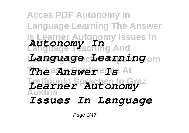## **Acces PDF Autonomy In Language Learning The Answer Is Learner Autonomy Issues In Autonomy In**<br>Language Paching And **Learning Selected Papers From** *Language Learning*  $\boldsymbol{T}$ *he* answer Is At **Treffpunkt Sprachen In Graz Austria** *Learner Autonomy Issues In Language*

Page 1/47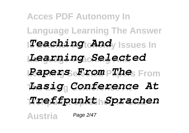## **Acces PDF Autonomy In Language Learning The Answer** *ITeaching Andy Issues In* **Language Teaching And** *Learning Selected* **Learning Selected Papers From** *Papers From The* **The Lasig Conference At** *Lasig Conference At* **Treffpunkt Sprachen In Graz** *Treffpunkt Sprachen* **Austria** Page 2/47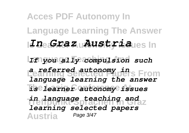## **Acces PDF Autonomy In Language Learning The Answer Is Learner Autonomy Issues In** *In Graz Austria* **Language Teaching And** *If you ally compulsion such* **Learning Selected Papers From** *a referred autonomy in* **The Lasig Conference At** *is learner autonomy issues* **Treffpunkt Sprachen In Graz** *in language teaching and* **Austria** *language learning the answer learning selected papers* Page 3/47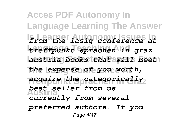**Acces PDF Autonomy In Language Learning The Answer Is Learner Autonomy Issues In** *from the lasig conference at* **Language Teaching And** *treffpunkt sprachen in graz* **Learning Selected Papers From** *austria books that will meet* **The Lasig Conference At** *the expense of you worth,* **Treffpunkt Sprachen In Graz** *acquire the categorically* **Austria** *currently from several best seller from us preferred authors. If you* Page 4/47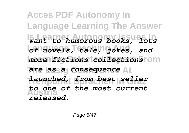**Acces PDF Autonomy In Language Learning The Answer Is Learner Autonomy Issues In** *want to humorous books, lots* **Language Teaching And** *of novels, tale, jokes, and*  $more$  *fictions* tcollections rom **The Lasig Conference At** *are as a consequence* **Treffpunkt Sprachen In Graz** *launched, from best seller* **Austria** *to one of the most current released.*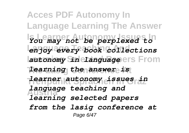**Acces PDF Autonomy In Language Learning The Answer Is Learner Autonomy Issues In** *You may not be perplexed to* **Language Teaching And** *enjoy every book collections* autonomy Sin elanguageers From **The Lasig Conference At** *learning the answer is* **Treffpunkt Sprachen In Graz** *learner autonomy issues in* **Austria** *learning selected papers language teaching and from the lasig conference at* Page 6/47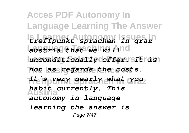**Acces PDF Autonomy In Language Learning The Answer Is Learner Autonomy Issues In** *treffpunkt sprachen in graz* **Language Teaching And** *austria that we will* **Learning Selected Papers From** *unconditionally offer. It is* **The Lasig Conference At** *not as regards the costs.* **Treffpunkt Sprachen In Graz** *It's very nearly what you* **Austria** *habit currently. This autonomy in language learning the answer is* Page 7/47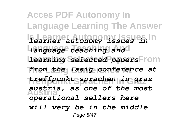**Acces PDF Autonomy In Language Learning The Answer Is Learner Autonomy Issues In** *learner autonomy issues in* **Language Teaching And** *language teaching and* **Learning Selected Papers From** *learning selected papers* **The Lasig Conference At** *from the lasig conference at* **Treffpunkt Sprachen In Graz** *treffpunkt sprachen in graz* **Austria** *operational sellers here austria, as one of the most will very be in the middle* Page 8/47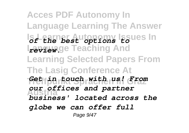**Acces PDF Autonomy In Language Learning The Answer** *Sf the best options issues In* **Language Teaching And** *review.* **Learning Selected Papers From The Lasig Conference At Treffpunkt Sprachen In Graz** *Get in touch with us! From* **Austria** *business' located across the our offices and partner globe we can offer full* Page 9/47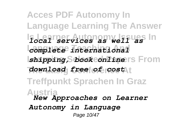**Acces PDF Autonomy In Language Learning The Answer Is Learner Autonomy Issues In** *local services as well as* **Language Teaching And** *complete international shipping, book conline* Is From **The Lasig Conference At** *download free of cost* **Treffpunkt Sprachen In Graz Austria** *New Approaches on Learner Autonomy in Language* Page 10/47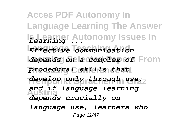**Acces PDF Autonomy In Language Learning The Answer Is Learner Autonomy Issues In** *Learning ...* **Language Teaching And** *Effective communication depends on a complex of* From **The Lasig Conference At** *procedural skills that* **Treffpunkt Sprachen In Graz** *develop only through use;* **Austria** *depends crucially on and if language learning language use, learners who* Page 11/47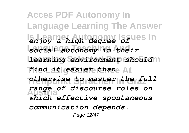**Acces PDF Autonomy In Language Learning The Answer Is Learner Autonomy Issues In** *enjoy a high degree of* **Language Teaching And** *social autonomy in their* **Learning environment should The Lasig Conference At** *find it easier than* **Treffpunkt Sprachen In Graz** *otherwise to master the full* **Austria** *range of discourse roles on which effective spontaneous communication depends.* Page 12/47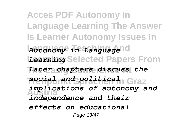**Acces PDF Autonomy In Language Learning The Answer Is Learner Autonomy Issues In Language Teaching And** *Autonomy in Language* **Learning Selected Papers From** *Learning* **The Lasig Conference At** *Later chapters discuss the* **Treffpunkt Sprachen In Graz** *social and political* **Austria** *independence and their implications of autonomy and effects on educational* Page 13/47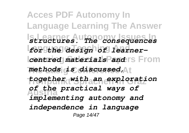**Acces PDF Autonomy In Language Learning The Answer Is Learner Autonomy Issues In** *structures. The consequences* **Language Teaching And** *for the design of learnercentred materials and IS From* **The Lasig Conference At** *methods is discussed,* **Treffpunkt Sprachen In Graz** *together with an exploration* **Austria** *of the practical ways of implementing autonomy and independence in language* Page 14/47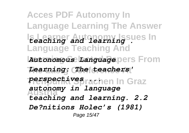**Acces PDF Autonomy In Language Learning The Answer** Is Learner **Autonomy Issues In Language Teaching And Autonomous Language**pers From **The Lasig Conference At** *Learning: The teachers'* **Treffpunkt Sprachen In Graz** *perspectives ...* **Austria** *autonomy in language teaching and learning. 2.2 De?nitions Holec's (1981)* Page 15/47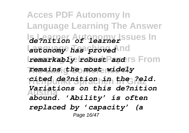**Acces PDF Autonomy In Language Learning The Answer Is Learner Autonomy Issues In** *de?nition of learner* autonomy has proved nd *remarkably robust Pand* IS From **The Lasig Conference At** *remains the most widely* **Treffpunkt Sprachen In Graz** *cited de?nition in the ?eld.* **Austria** *abound. 'Ability' is often Variations on this de?nition replaced by 'capacity' (a* Page 16/47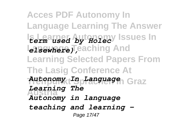**Acces PDF Autonomy In Language Learning The Answer Is Learner Autonomy Issues In** *term used by Holec* **Language Teaching And Learning Selected Papers From The Lasig Conference At Treffpunkt Sprachen In Graz** *Autonomy In Language* **Austria** *Autonomy in language Learning The teaching and learning -* Page 17/47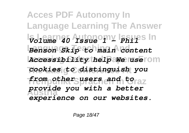**Acces PDF Autonomy In Language Learning The Answer Is Learner Autonomy Issues In** *Volume 40 Issue 1 - Phil* **Language Teaching And** *Benson Skip to main content* **Learning Selected Papers From** *Accessibility help We use* **The Lasig Conference At** *cookies to distinguish you* **Treffpunkt Sprachen In Graz** *from other users and to* **Austria** *provide you with a better experience on our websites.*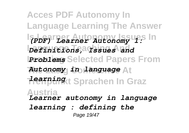**Acces PDF Autonomy In Language Learning The Answer Is Learner Autonomy Issues In** *(PDF) Learner Autonomy 1:* **Language Teaching And** *Definitions, Issues and Problems* Selected Papers From **The Lasig Conference At** *Autonomy in language* **Treffpunkt Sprachen In Graz** *learning* **Austria** *Learner autonomy in language learning : defining the* Page 19/47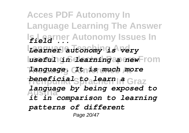**Acces PDF Autonomy In Language Learning The Answer** l<mark>ɛ̃il</mark>e͡t͡arner Autonomy Issues In **Language Teaching And** *Learner autonomy is very*  $l$ useful *in dearning a new*From **The Lasig Conference At** *language. It is much more beneficials prachen In Graz* **Austria** *it in comparison to learning language by being exposed to patterns of different* Page 20/47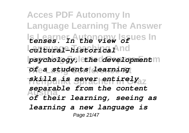**Acces PDF Autonomy In Language Learning The Answer Is Learner Autonomy Issues In** *tenses. In the view of* **Language Teaching And** *cultural-historical*  $psychology, let he determined *dependent*$ **The Lasig Conference At** *of a students learning* **Treffpunkt Sprachen In Graz** *skills is never entirely* **Austria** *of their learning, seeing as separable from the content learning a new language is* Page 21/47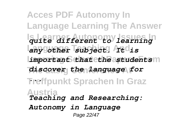**Acces PDF Autonomy In Language Learning The Answer Is Learner Autonomy Issues In** *quite different to learning* **Language Teaching And** *any other subject. It is important that the astudents* $m$ **The Lasig Conference At** *discover the language for* **Treffpunkt Sprachen In Graz** *...* **Austria** *Teaching and Researching: Autonomy in Language* Page 22/47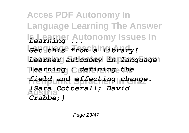**Acces PDF Autonomy In Language Learning The Answer Is Learner Autonomy Issues In** *Learning ...* **Language Teaching And** *Get this from a library!* Learner autonomy in language **The Lasig Conference At** *learning : defining the* **Treffpunkt Sprachen In Graz** *field and effecting change.* **Austria** *[Sara Cotterall; David Crabbe;]*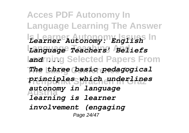**Acces PDF Autonomy In Language Learning The Answer Is Learner Autonomy Issues In** *Learner Autonomy: English* **Language Teaching And** *Language Teachers' Beliefs* **Land ring Selected Papers From The Lasig Conference At** *The three basic pedagogical* **Treffpunkt Sprachen In Graz** *principles which underlines* **Austria** *learning is learner autonomy in language involvement (engaging* Page 24/47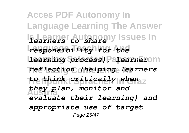**Acces PDF Autonomy In Language Learning The Answer Is Learner Autonomy Issues In** *learners to share* **Language Teaching And** *responsibility for the* **Learning process)**, Palearnerom **The Lasig Conference At** *reflection (helping learners* **Treffpunkt Sprachen In Graz** *to think critically when* **Austria** *evaluate their learning) and they plan, monitor and appropriate use of target* Page 25/47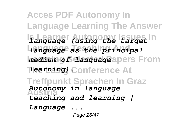**Acces PDF Autonomy In Language Learning The Answer Is Learner Autonomy Issues In** *language (using the target* **Language Teaching And** *language as the principal medium of danguage* apers From **The Lasig Conference At** *learning).* **Treffpunkt Sprachen In Graz Austria** *teaching and learning | Autonomy in language Language ...* Page 26/47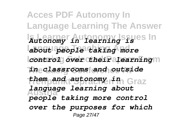**Acces PDF Autonomy In Language Learning The Answer Is Learner Autonomy Issues In** *Autonomy in learning is* **Language Teaching And** *about people taking more control over their alearning*m **The Lasig Conference At** *in classrooms and outside* **Treffpunkt Sprachen In Graz** *them and autonomy in* **Austria** *language learning about people taking more control over the purposes for which* Page 27/47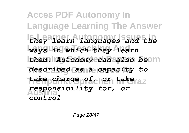**Acces PDF Autonomy In Language Learning The Answer Is Learner Autonomy Issues In** *they learn languages and the* **Language Teaching And** *ways in which they learn them. Autonomy can also be*om **The Lasig Conference At** *described as a capacity to* **Treffpunkt Sprachen In Graz** *take charge of, or take* **Austria** *control responsibility for, or*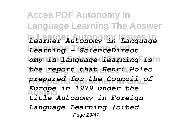**Acces PDF Autonomy In Language Learning The Answer Is Learner Autonomy Issues In** *Learner Autonomy in Language* **Language Teaching And** *Learning - ScienceDirect Lomy in Language learning ism* **The Lasig Conference At** *the report that Henri Holec* **Treffpunkt Sprachen In Graz** *prepared for the Council of* **Austria** *title Autonomy in Foreign Europe in 1979 under the Language Learning (cited* Page 29/47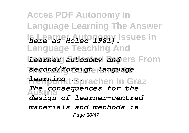**Acces PDF Autonomy In Language Learning The Answer Is Learner Autonomy Issues In** *here as Holec 1981).* **Language Teaching And** Learner autonomy anders From **The Lasig Conference At** *second/foreign language* **Treffpunkt Sprachen In Graz** *learning ...* **Austria** *design of learner-centred The consequences for the materials and methods is* Page 30/47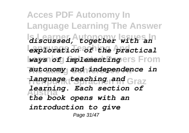**Acces PDF Autonomy In Language Learning The Answer Is Learner Autonomy Issues In** *discussed, together with an* **Language Teaching And** *exploration of the practical ways of implementingers* From **The Lasig Conference At** *autonomy and independence in* **Treffpunkt Sprachen In Graz** *language teaching and* **Austria** *learning. Each section of the book opens with an introduction to give* Page 31/47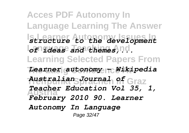**Acces PDF Autonomy In Language Learning The Answer Is Learner Autonomy Issues In** *structure to the development* Lof lasse and themes, nd. **Learning Selected Papers From The Lasig Conference At** *Learner autonomy - Wikipedia* **Treffpunkt Sprachen In Graz** *Australian Journal of* **Austria** *February 2010 90. Learner Teacher Education Vol 35, 1, Autonomy In Language* Page 32/47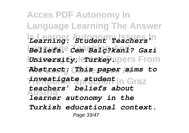**Acces PDF Autonomy In Language Learning The Answer Is Learner Autonomy Issues In** *Learning: Student Teachers'* **Language Teaching And** *Beliefs. Cem Balç?kanl? Gazi University, Crurkey* **apers From The Lasig Conference At** *Abstract: This paper aims to* **Treffpunkt Sprachen In Graz** *investigate student* **Austria** *learner autonomy in the teachers' beliefs about Turkish educational context.* Page 33/47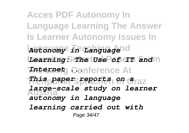**Acces PDF Autonomy In Language Learning The Answer Is Learner Autonomy Issues In Language Teaching And** *Autonomy in Language* Learning: The Use of IT and M **The Lasig Conference At** *Internet ...* **Treffpunkt Sprachen In Graz** *This paper reports on a* **Austria** *large-scale study on learner autonomy in language learning carried out with* Page 34/47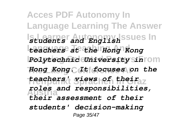**Acces PDF Autonomy In Language Learning The Answer** Is Learner **Autonomy, Issues In Language Teaching And** *teachers at the Hong Kong Polytechnic University sinrom* **The Lasig Conference At** *Hong Kong. It focuses on the* **Treffpunkt Sprachen In Graz** *teachers' views of their* **Austria** *roles and responsibilities, their assessment of their students' decision-making* Page 35/47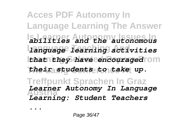**Acces PDF Autonomy In Language Learning The Answer Is Learner Autonomy Issues In** *abilities and the autonomous* **Language Teaching And** *language learning activities that they have encouraged* rom **The Lasig Conference At** *their students to take up.* **Treffpunkt Sprachen In Graz Austria** *Learning: Student Teachers Learner Autonomy In Language*

*...*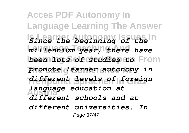**Acces PDF Autonomy In Language Learning The Answer Is Learner Autonomy Issues In** *Since the beginning of the* **Language Teaching And** *millennium year, there have been lots of studies to* From **The Lasig Conference At** *promote learner autonomy in* **Treffpunkt Sprachen In Graz** *different levels of foreign* **Austria** *different schools and at language education at different universities. In* Page 37/47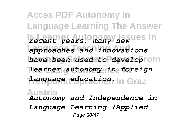**Acces PDF Autonomy In Language Learning The Answer Is Learner Autonomy Issues In** *recent years, many new* **Language Teaching And** *approaches and innovations have been used to develop* rom **The Lasig Conference At** *learner autonomy in foreign* **Treffpunkt Sprachen In Graz** *language education.* **Austria** *Autonomy and Independence in Language Learning (Applied* Page 38/47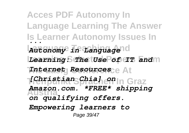**Acces PDF Autonomy In Language Learning The Answer Is Learner Autonomy Issues In** *...* **Language Teaching And** *Autonomy in Language* Learning: The Use of IT and M **The Lasig Conference At** *Internet Resources* **Treffpunkt Sprachen In Graz** *[Christian Chia] on* **Austria** *Amazon.com. \*FREE\* shipping on qualifying offers. Empowering learners to* Page 39/47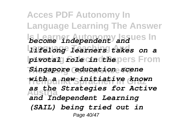**Acces PDF Autonomy In Language Learning The Answer Is Learner Autonomy Issues In** *become independent and* **Language Teaching And** *lifelong learners takes on a* **pivotal** *role* cincthepers From **The Lasig Conference At** *Singapore education scene* **Treffpunkt Sprachen In Graz** *with a new initiative known* **Austria** *as the Strategies for Active and Independent Learning (SAIL) being tried out in* Page 40/47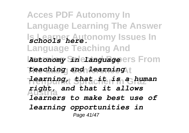**Acces PDF Autonomy In Language Learning The Answer Is Learner Autonomy Issues In** *schools here.* **Language Teaching And** *Autonomy Sin clanguage* ers From **The Lasig Conference At** *teaching and learning* **Treffpunkt Sprachen In Graz** *learning, that it is a human* **Austria** *right, and that it allows learners to make best use of learning opportunities in* Page 41/47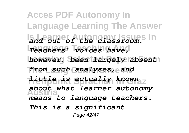**Acces PDF Autonomy In Language Learning The Answer Is Learner Autonomy Issues In** *and out of the classroom.* **Language Teaching And** *Teachers' voices have,* however, been largely absent **The Lasig Conference At** *from such analyses, and* **Treffpunkt Sprachen In Graz** *little is actually known* **Austria** *about what learner autonomy means to language teachers. This is a significant* Page 42/47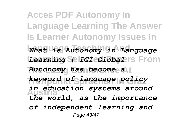**Acces PDF Autonomy In Language Learning The Answer Is Learner Autonomy Issues In Language Teaching And** *What is Autonomy in Language* Learning Selrcieclobalers From **The Lasig Conference At** *Autonomy has become a* **Treffpunkt Sprachen In Graz** *keyword of language policy* **Austria** *in education systems around the world, as the importance of independent learning and* Page 43/47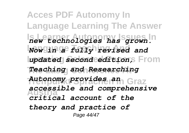**Acces PDF Autonomy In Language Learning The Answer Is Learner Autonomy Issues In** *new technologies has grown.* **Language Teaching And** *Now in a fully revised and updated second edition,* From **The Lasig Conference At** *Teaching and Researching* **Treffpunkt Sprachen In Graz** *Autonomy provides an* **Austria** *critical account of the accessible and comprehensive theory and practice of* Page 44/47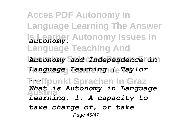**Acces PDF Autonomy In Language Learning The Answer Is Learner Autonomy Issues In** *autonomy.* **Language Teaching And Learning Selected Papers From** *Autonomy and Independence in* **The Lasig Conference At** *Language Learning | Taylor* **Treffpunkt Sprachen In Graz** *...* **Austria** *What is Autonomy in Language Learning. 1. A capacity to take charge of, or take* Page 45/47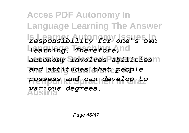**Acces PDF Autonomy In Language Learning The Answer Is Learner Autonomy Issues In** *responsibility for one's own* **Laarning.** Therefore, nd **Learning Selected Papers From** *autonomy involves abilities* **The Lasig Conference At** *and attitudes that people* **Treffpunkt Sprachen In Graz** *possess and can develop to* **Austria** *various degrees.*